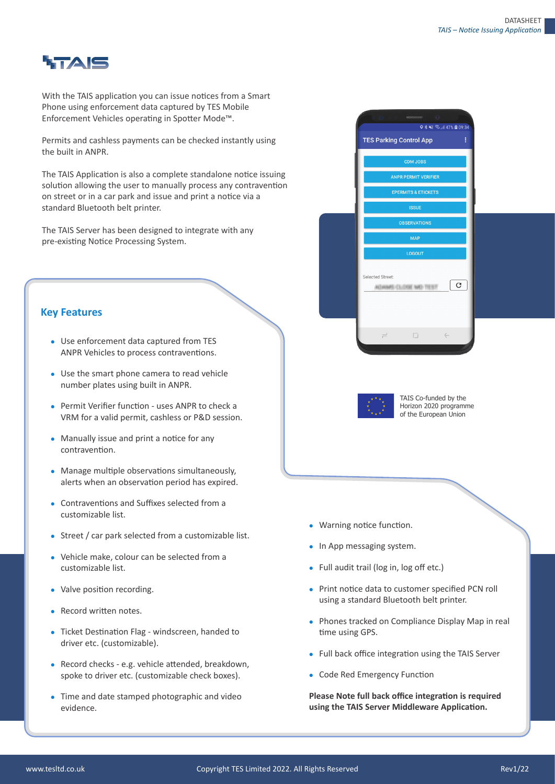

With the TAIS application you can issue notices from a Smart Phone using enforcement data captured by TES Mobile Enforcement Vehicles operating in Spotter Mode™.

Permits and cashless payments can be checked instantly using the built in ANPR.

The TAIS Application is also a complete standalone notice issuing solution allowing the user to manually process any contravention on street or in a car park and issue and print a notice via a standard Bluetooth belt printer.

The TAIS Server has been designed to integrate with any pre-existing Notice Processing System.

## **Key Features**

- Use enforcement data captured from TES ANPR Vehicles to process contraventions.
- Use the smart phone camera to read vehicle number plates using built in ANPR.
- Permit Verifier function uses ANPR to check a VRM for a valid permit, cashless or P&D session.
- Manually issue and print a notice for any contravention.
- Manage multiple observations simultaneously, alerts when an observation period has expired.
- **Contraventions and Suffixes selected from a** customizable list.
- Street / car park selected from a customizable list.
- Vehicle make, colour can be selected from a customizable list.
- Valve position recording.
- Record written notes.
- Ticket Destination Flag windscreen, handed to driver etc. (customizable).
- Record checks e.g. vehicle attended, breakdown, spoke to driver etc. (customizable check boxes).
- Time and date stamped photographic and video evidence.





TAIS Co-funded by the Horizon 2020 programme of the European Union

- Warning notice function.
- In App messaging system.
- Full audit trail (log in, log off etc.)
- Print notice data to customer specified PCN roll using a standard Bluetooth belt printer.
- Phones tracked on Compliance Display Map in real time using GPS.
- Full back office integration using the TAIS Server
- Code Red Emergency Function

Please Note full back office integration is required using the TAIS Server Middleware Application.